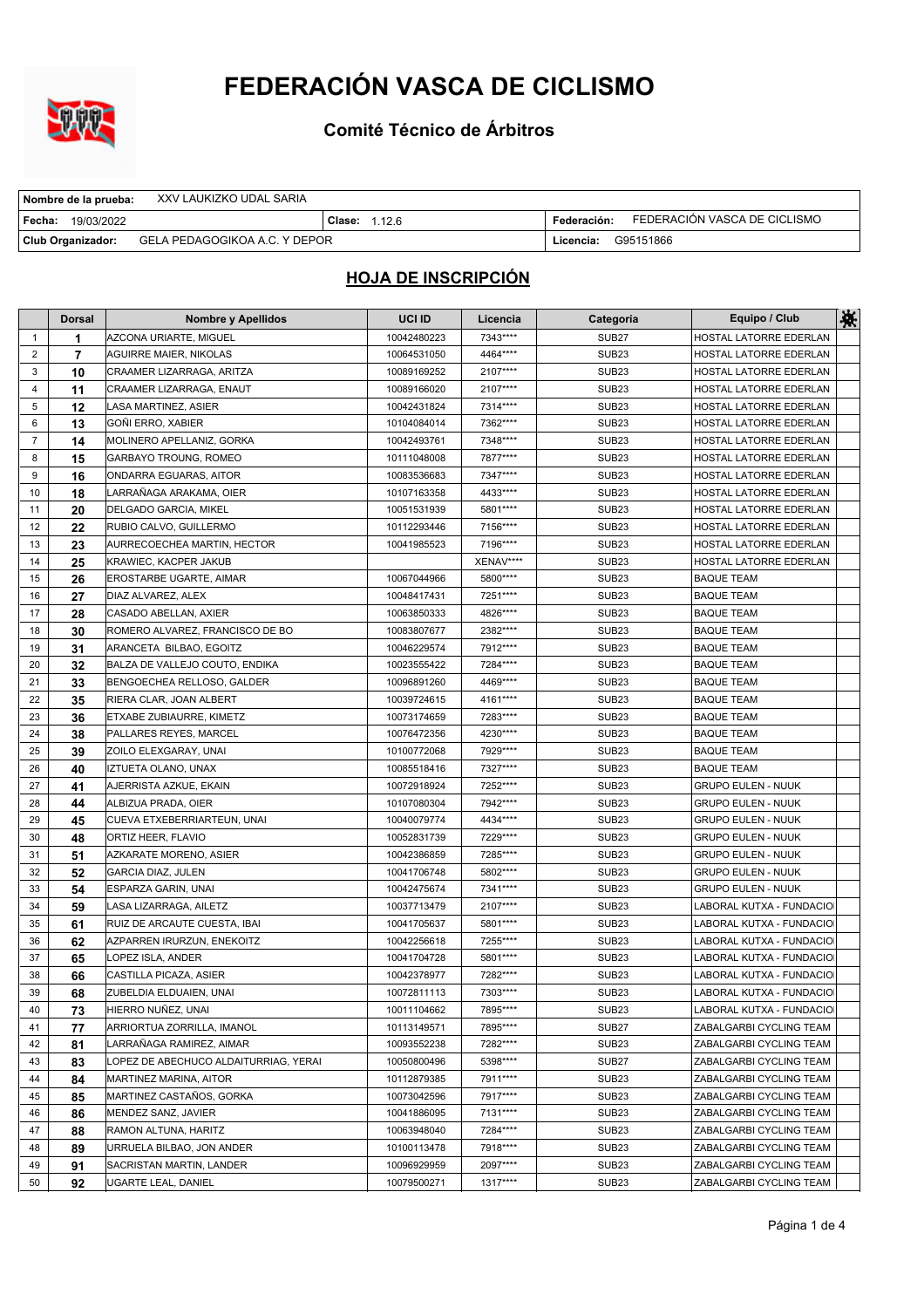

**Comité Técnico de Árbitros**

| Nombre de la prueba:                               | XXV LAUKIZKO UDAL SARIA |                        |             |                              |
|----------------------------------------------------|-------------------------|------------------------|-------------|------------------------------|
| l Fecha:<br>19/03/2022                             |                         | <b>Clase:</b> $1.12.6$ | Federación: | FEDERACIÓN VASCA DE CICLISMO |
| GELA PEDAGOGIKOA A.C. Y DEPOR<br>Club Organizador: |                         |                        | Licencia:   | G95151866                    |

|                | <b>Dorsal</b>  | <b>Nombre y Apellidos</b>             | UCI ID      | Licencia  | Categoría         | Equipo / Club             | 檪 |
|----------------|----------------|---------------------------------------|-------------|-----------|-------------------|---------------------------|---|
| $\mathbf{1}$   | 1              | AZCONA URIARTE, MIGUEL                | 10042480223 | 7343****  | SUB <sub>27</sub> | HOSTAL LATORRE EDERLAN    |   |
| 2              | $\overline{7}$ | <b>AGUIRRE MAIER, NIKOLAS</b>         | 10064531050 | 4464 **** | SUB <sub>23</sub> | HOSTAL LATORRE EDERLAN    |   |
| 3              | 10             | CRAAMER LIZARRAGA, ARITZA             | 10089169252 | 2107****  | SUB <sub>23</sub> | HOSTAL LATORRE EDERLAN    |   |
| 4              | 11             | CRAAMER LIZARRAGA, ENAUT              | 10089166020 | 2107****  | SUB <sub>23</sub> | HOSTAL LATORRE EDERLAN    |   |
| 5              | 12             | LASA MARTINEZ, ASIER                  | 10042431824 | 7314****  | SUB <sub>23</sub> | HOSTAL LATORRE EDERLAN    |   |
| 6              | 13             | GOÑI ERRO, XABIER                     | 10104084014 | 7362****  | SUB <sub>23</sub> | HOSTAL LATORRE EDERLAN    |   |
| $\overline{7}$ | 14             | MOLINERO APELLANIZ, GORKA             | 10042493761 | 7348****  | SUB <sub>23</sub> | HOSTAL LATORRE EDERLAN    |   |
| 8              | 15             | GARBAYO TROUNG, ROMEO                 | 10111048008 | 7877****  | SUB <sub>23</sub> | HOSTAL LATORRE EDERLAN    |   |
| 9              | 16             | ONDARRA EGUARAS, AITOR                | 10083536683 | 7347****  | SUB <sub>23</sub> | HOSTAL LATORRE EDERLAN    |   |
| 10             | 18             | LARRAÑAGA ARAKAMA, OIER               | 10107163358 | 4433 **** | SUB <sub>23</sub> | HOSTAL LATORRE EDERLAN    |   |
| 11             | 20             | DELGADO GARCIA, MIKEL                 | 10051531939 | 5801****  | SUB <sub>23</sub> | HOSTAL LATORRE EDERLAN    |   |
| 12             | 22             | RUBIO CALVO, GUILLERMO                | 10112293446 | 7156****  | SUB <sub>23</sub> | HOSTAL LATORRE EDERLAN    |   |
| 13             | 23             | AURRECOECHEA MARTIN, HECTOR           | 10041985523 | 7196****  | <b>SUB23</b>      | HOSTAL LATORRE EDERLAN    |   |
| 14             | 25             | KRAWIEC, KACPER JAKUB                 |             | XENAV**** | SUB <sub>23</sub> | HOSTAL LATORRE EDERLAN    |   |
| 15             | 26             | EROSTARBE UGARTE, AIMAR               | 10067044966 | 5800****  | <b>SUB23</b>      | <b>BAQUE TEAM</b>         |   |
| 16             | 27             | DIAZ ALVAREZ, ALEX                    | 10048417431 | 7251****  | SUB <sub>23</sub> | <b>BAQUE TEAM</b>         |   |
| 17             | 28             | CASADO ABELLAN, AXIER                 | 10063850333 | 4826****  | SUB <sub>23</sub> | <b>BAQUE TEAM</b>         |   |
| 18             | 30             | ROMERO ALVAREZ, FRANCISCO DE BO       | 10083807677 | 2382****  | SUB <sub>23</sub> | <b>BAQUE TEAM</b>         |   |
| 19             | 31             | ARANCETA BILBAO, EGOITZ               | 10046229574 | 7912****  | SUB <sub>23</sub> | <b>BAQUE TEAM</b>         |   |
| 20             | 32             | BALZA DE VALLEJO COUTO, ENDIKA        | 10023555422 | 7284****  | SUB <sub>23</sub> | <b>BAQUE TEAM</b>         |   |
| 21             | 33             | BENGOECHEA RELLOSO, GALDER            | 10096891260 | 4469****  | SUB <sub>23</sub> | <b>BAQUE TEAM</b>         |   |
| 22             | 35             | RIERA CLAR, JOAN ALBERT               | 10039724615 | 4161****  | SUB <sub>23</sub> | <b>BAQUE TEAM</b>         |   |
| 23             | 36             | ETXABE ZUBIAURRE, KIMETZ              | 10073174659 | 7283****  | <b>SUB23</b>      | <b>BAQUE TEAM</b>         |   |
| 24             | 38             | PALLARES REYES, MARCEL                | 10076472356 | 4230****  | SUB <sub>23</sub> | <b>BAQUE TEAM</b>         |   |
| 25             | 39             | ZOILO ELEXGARAY, UNAI                 | 10100772068 | 7929****  | SUB <sub>23</sub> | <b>BAQUE TEAM</b>         |   |
| 26             | 40             | IZTUETA OLANO, UNAX                   | 10085518416 | 7327****  | SUB <sub>23</sub> | <b>BAQUE TEAM</b>         |   |
| 27             | 41             | AJERRISTA AZKUE, EKAIN                | 10072918924 | 7252****  | <b>SUB23</b>      | <b>GRUPO EULEN - NUUK</b> |   |
| 28             | 44             | ALBIZUA PRADA, OIER                   | 10107080304 | 7942****  | <b>SUB23</b>      | <b>GRUPO EULEN - NUUK</b> |   |
| 29             | 45             | CUEVA ETXEBERRIARTEUN, UNAI           | 10040079774 | 4434 **** | SUB <sub>23</sub> | <b>GRUPO EULEN - NUUK</b> |   |
| 30             | 48             | ORTIZ HEER, FLAVIO                    | 10052831739 | 7229****  | SUB <sub>23</sub> | <b>GRUPO EULEN - NUUK</b> |   |
| 31             | 51             | AZKARATE MORENO, ASIER                | 10042386859 | 7285****  | SUB <sub>23</sub> | <b>GRUPO EULEN - NUUK</b> |   |
| 32             | 52             | <b>GARCIA DIAZ, JULEN</b>             | 10041706748 | 5802****  | SUB <sub>23</sub> | <b>GRUPO EULEN - NUUK</b> |   |
| 33             | 54             | ESPARZA GARIN, UNAI                   | 10042475674 | 7341 **** | SUB <sub>23</sub> | <b>GRUPO EULEN - NUUK</b> |   |
| 34             | 59             | LASA LIZARRAGA, AILETZ                | 10037713479 | 2107****  | SUB <sub>23</sub> | LABORAL KUTXA - FUNDACIO  |   |
| 35             | 61             | RUIZ DE ARCAUTE CUESTA, IBAI          | 10041705637 | 5801****  | <b>SUB23</b>      | LABORAL KUTXA - FUNDACIO  |   |
| 36             | 62             | AZPARREN IRURZUN, ENEKOITZ            | 10042256618 | 7255****  | SUB <sub>23</sub> | LABORAL KUTXA - FUNDACIO  |   |
| 37             | 65             | LOPEZ ISLA, ANDER                     | 10041704728 | 5801 **** | SUB <sub>23</sub> | LABORAL KUTXA - FUNDACIO  |   |
| 38             | 66             | CASTILLA PICAZA, ASIER                | 10042378977 | 7282****  | SUB <sub>23</sub> | LABORAL KUTXA - FUNDACIO  |   |
| 39             | 68             | ZUBELDIA ELDUAIEN, UNAI               | 10072811113 | 7303****  | SUB <sub>23</sub> | LABORAL KUTXA - FUNDACIO  |   |
| 40             | 73             | HIERRO NUÑEZ, UNAI                    | 10011104662 | 7895****  | SUB <sub>23</sub> | LABORAL KUTXA - FUNDACIO  |   |
| 41             | 77             | ARRIORTUA ZORRILLA, IMANOL            | 10113149571 | 7895****  | SUB <sub>27</sub> | ZABALGARBI CYCLING TEAM   |   |
| 42             | 81             | LARRAÑAGA RAMIREZ, AIMAR              | 10093552238 | 7282****  | SUB <sub>23</sub> | ZABALGARBI CYCLING TEAM   |   |
| 43             | 83             | LOPEZ DE ABECHUCO ALDAITURRIAG, YERAI | 10050800496 | 5398****  | SUB <sub>27</sub> | ZABALGARBI CYCLING TEAM   |   |
| 44             | 84             | MARTINEZ MARINA, AITOR                | 10112879385 | 7911****  | SUB <sub>23</sub> | ZABALGARBI CYCLING TEAM   |   |
| 45             | 85             | MARTINEZ CASTAÑOS, GORKA              | 10073042596 | 7917****  | SUB <sub>23</sub> | ZABALGARBI CYCLING TEAM   |   |
| 46             | 86             | MENDEZ SANZ, JAVIER                   | 10041886095 | 7131****  | SUB <sub>23</sub> | ZABALGARBI CYCLING TEAM   |   |
| 47             | 88             | RAMON ALTUNA, HARITZ                  | 10063948040 | 7284****  | SUB <sub>23</sub> | ZABALGARBI CYCLING TEAM   |   |
| 48             | 89             | URRUELA BILBAO, JON ANDER             | 10100113478 | 7918****  | SUB <sub>23</sub> | ZABALGARBI CYCLING TEAM   |   |
| 49             | 91             | SACRISTAN MARTIN, LANDER              | 10096929959 | 2097****  | SUB <sub>23</sub> | ZABALGARBI CYCLING TEAM   |   |
| 50             | 92             | UGARTE LEAL, DANIEL                   | 10079500271 | 1317****  | SUB <sub>23</sub> | ZABALGARBI CYCLING TEAM   |   |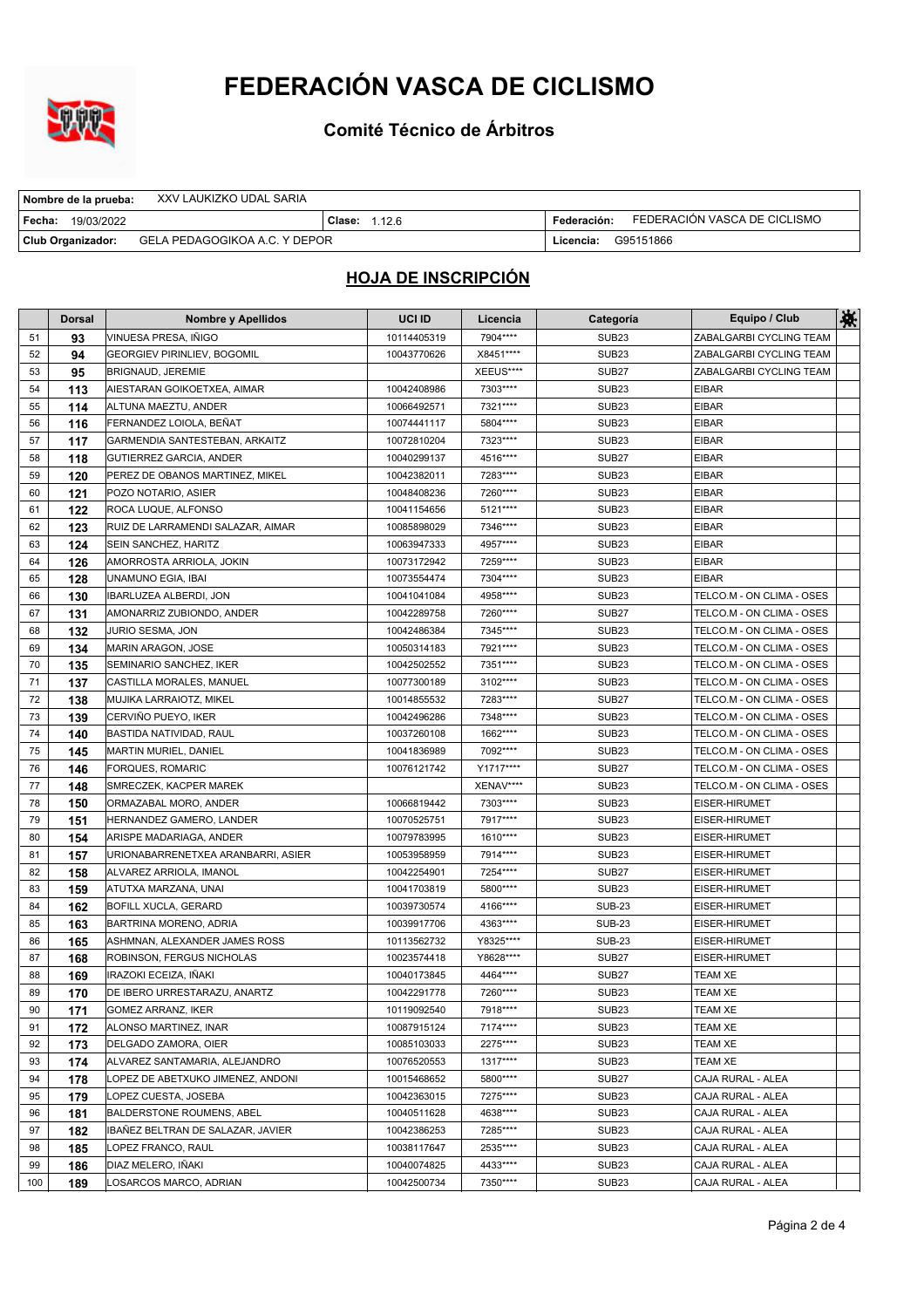

**Comité Técnico de Árbitros**

| XXV LAUKIZKO UDAL SARIA<br>Nombre de la prueba:    |                      |                                             |
|----------------------------------------------------|----------------------|---------------------------------------------|
| l Fecha:<br>19/03/2022                             | <b>Clase: 1.12.6</b> | FEDERACIÓN VASCA DE CICLISMO<br>Federación: |
| GELA PEDAGOGIKOA A.C. Y DEPOR<br>Club Organizador: |                      | G95151866<br>Licencia:                      |

|     | <b>Dorsal</b> | Nombre y Apellidos                 | UCI ID      | Licencia   | Categoría         | Equipo / Club             | 茶 |
|-----|---------------|------------------------------------|-------------|------------|-------------------|---------------------------|---|
| 51  | 93            | VINUESA PRESA, IÑIGO               | 10114405319 | 7904****   | <b>SUB23</b>      | ZABALGARBI CYCLING TEAM   |   |
| 52  | 94            | <b>GEORGIEV PIRINLIEV, BOGOMIL</b> | 10043770626 | X8451****  | SUB <sub>23</sub> | ZABALGARBI CYCLING TEAM   |   |
| 53  | 95            | BRIGNAUD, JEREMIE                  |             | XEEUS****  | SUB <sub>27</sub> | ZABALGARBI CYCLING TEAM   |   |
| 54  | 113           | AIESTARAN GOIKOETXEA, AIMAR        | 10042408986 | 7303****   | <b>SUB23</b>      | <b>EIBAR</b>              |   |
| 55  | 114           | ALTUNA MAEZTU, ANDER               | 10066492571 | 7321 ****  | <b>SUB23</b>      | <b>EIBAR</b>              |   |
| 56  | 116           | FERNANDEZ LOIOLA, BEÑAT            | 10074441117 | 5804 ****  | SUB <sub>23</sub> | <b>EIBAR</b>              |   |
| 57  | 117           | GARMENDIA SANTESTEBAN, ARKAITZ     | 10072810204 | 7323 ****  | <b>SUB23</b>      | <b>EIBAR</b>              |   |
| 58  | 118           | GUTIERREZ GARCIA, ANDER            | 10040299137 | 4516****   | SUB <sub>27</sub> | <b>EIBAR</b>              |   |
| 59  | 120           | PEREZ DE OBANOS MARTINEZ, MIKEL    | 10042382011 | 7283****   | <b>SUB23</b>      | <b>EIBAR</b>              |   |
| 60  | 121           | POZO NOTARIO, ASIER                | 10048408236 | 7260****   | <b>SUB23</b>      | <b>EIBAR</b>              |   |
| 61  | 122           | ROCA LUQUE, ALFONSO                | 10041154656 | 5121 ****  | SUB <sub>23</sub> | <b>EIBAR</b>              |   |
| 62  | 123           | RUIZ DE LARRAMENDI SALAZAR, AIMAR  | 10085898029 | 7346****   | SUB <sub>23</sub> | <b>EIBAR</b>              |   |
| 63  | 124           | SEIN SANCHEZ, HARITZ               | 10063947333 | 4957****   | SUB <sub>23</sub> | <b>EIBAR</b>              |   |
| 64  | 126           | AMORROSTA ARRIOLA, JOKIN           | 10073172942 | 7259****   | <b>SUB23</b>      | <b>EIBAR</b>              |   |
| 65  | 128           | UNAMUNO EGIA, IBAI                 | 10073554474 | 7304****   | <b>SUB23</b>      | <b>EIBAR</b>              |   |
| 66  | 130           | IBARLUZEA ALBERDI, JON             | 10041041084 | 4958****   | <b>SUB23</b>      | TELCO.M - ON CLIMA - OSES |   |
| 67  | 131           | AMONARRIZ ZUBIONDO, ANDER          | 10042289758 | 7260****   | SUB <sub>27</sub> | TELCO.M - ON CLIMA - OSES |   |
| 68  | 132           | JURIO SESMA, JON                   | 10042486384 | 7345****   | SUB <sub>23</sub> | TELCO.M - ON CLIMA - OSES |   |
| 69  | 134           | MARIN ARAGON, JOSE                 | 10050314183 | 7921 ****  | SUB <sub>23</sub> | TELCO.M - ON CLIMA - OSES |   |
| 70  | 135           | SEMINARIO SANCHEZ, IKER            | 10042502552 | 7351 ****  | <b>SUB23</b>      | TELCO.M - ON CLIMA - OSES |   |
| 71  | 137           | CASTILLA MORALES, MANUEL           | 10077300189 | 3102****   | SUB <sub>23</sub> | TELCO.M - ON CLIMA - OSES |   |
| 72  | 138           | MUJIKA LARRAIOTZ, MIKEL            | 10014855532 | 7283****   | SUB <sub>27</sub> | TELCO.M - ON CLIMA - OSES |   |
| 73  | 139           | CERVIÑO PUEYO. IKER                | 10042496286 | 7348****   | SUB <sub>23</sub> | TELCO.M - ON CLIMA - OSES |   |
| 74  | 140           | BASTIDA NATIVIDAD, RAUL            | 10037260108 | 1662****   | SUB <sub>23</sub> | TELCO.M - ON CLIMA - OSES |   |
| 75  | 145           | MARTIN MURIEL, DANIEL              | 10041836989 | 7092****   | <b>SUB23</b>      | TELCO.M - ON CLIMA - OSES |   |
| 76  | 146           | FORQUES, ROMARIC                   | 10076121742 | Y1717****  | SUB <sub>27</sub> | TELCO.M - ON CLIMA - OSES |   |
| 77  | 148           | SMRECZEK, KACPER MAREK             |             | XENAV****  | <b>SUB23</b>      | TELCO.M - ON CLIMA - OSES |   |
| 78  | 150           | ORMAZABAL MORO, ANDER              | 10066819442 | 7303****   | <b>SUB23</b>      | EISER-HIRUMET             |   |
| 79  | 151           | HERNANDEZ GAMERO, LANDER           | 10070525751 | 7917****   | SUB <sub>23</sub> | EISER-HIRUMET             |   |
| 80  | 154           | ARISPE MADARIAGA, ANDER            | 10079783995 | 1610****   | <b>SUB23</b>      | <b>EISER-HIRUMET</b>      |   |
| 81  | 157           | URIONABARRENETXEA ARANBARRI, ASIER | 10053958959 | 7914 ****  | <b>SUB23</b>      | EISER-HIRUMET             |   |
| 82  | 158           | ALVAREZ ARRIOLA, IMANOL            | 10042254901 | 7254 ****  | SUB <sub>27</sub> | <b>EISER-HIRUMET</b>      |   |
| 83  | 159           | ATUTXA MARZANA, UNAI               | 10041703819 | 5800****   | SUB <sub>23</sub> | <b>EISER-HIRUMET</b>      |   |
| 84  | 162           | BOFILL XUCLA, GERARD               | 10039730574 | 4166****   | <b>SUB-23</b>     | <b>EISER-HIRUMET</b>      |   |
| 85  | 163           | BARTRINA MORENO, ADRIA             | 10039917706 | 4363****   | <b>SUB-23</b>     | <b>EISER-HIRUMET</b>      |   |
| 86  | 165           | ASHMNAN, ALEXANDER JAMES ROSS      | 10113562732 | Y8325****  | <b>SUB-23</b>     | <b>EISER-HIRUMET</b>      |   |
| 87  | 168           | ROBINSON, FERGUS NICHOLAS          | 10023574418 | Y8628 **** | SUB <sub>27</sub> | <b>EISER-HIRUMET</b>      |   |
| 88  | 169           | IRAZOKI ECEIZA, IÑAKI              | 10040173845 | 4464 ****  | SUB <sub>27</sub> | <b>TEAM XE</b>            |   |
| 89  | 170           | DE IBERO URRESTARAZU, ANARTZ       | 10042291778 | 7260****   | SUB <sub>23</sub> | <b>TEAM XE</b>            |   |
| 90  | 171           | GOMEZ ARRANZ, IKER                 | 10119092540 | 7918****   | SUB <sub>23</sub> | <b>TEAM XE</b>            |   |
| 91  | 172           | ALONSO MARTINEZ. INAR              | 10087915124 | 7174****   | SUB <sub>23</sub> | TEAM XE                   |   |
| 92  | 173           | DELGADO ZAMORA, OIER               | 10085103033 | 2275****   | SUB <sub>23</sub> | TEAM XE                   |   |
| 93  | 174           | ALVAREZ SANTAMARIA, ALEJANDRO      | 10076520553 | 1317****   | SUB <sub>23</sub> | TEAM XE                   |   |
| 94  | 178           | LOPEZ DE ABETXUKO JIMENEZ, ANDONI  | 10015468652 | 5800****   | <b>SUB27</b>      | CAJA RURAL - ALEA         |   |
| 95  | 179           | LOPEZ CUESTA, JOSEBA               | 10042363015 | 7275****   | SUB <sub>23</sub> | CAJA RURAL - ALEA         |   |
| 96  | 181           | BALDERSTONE ROUMENS, ABEL          | 10040511628 | 4638****   | SUB <sub>23</sub> | CAJA RURAL - ALEA         |   |
| 97  | 182           | IBAÑEZ BELTRAN DE SALAZAR, JAVIER  | 10042386253 | 7285****   | SUB <sub>23</sub> | CAJA RURAL - ALEA         |   |
| 98  | 185           | LOPEZ FRANCO, RAUL                 | 10038117647 | 2535****   | SUB <sub>23</sub> | CAJA RURAL - ALEA         |   |
| 99  | 186           | DIAZ MELERO, IÑAKI                 | 10040074825 | 4433 ****  | SUB <sub>23</sub> | CAJA RURAL - ALEA         |   |
| 100 | 189           | LOSARCOS MARCO, ADRIAN             | 10042500734 | 7350****   | SUB <sub>23</sub> | CAJA RURAL - ALEA         |   |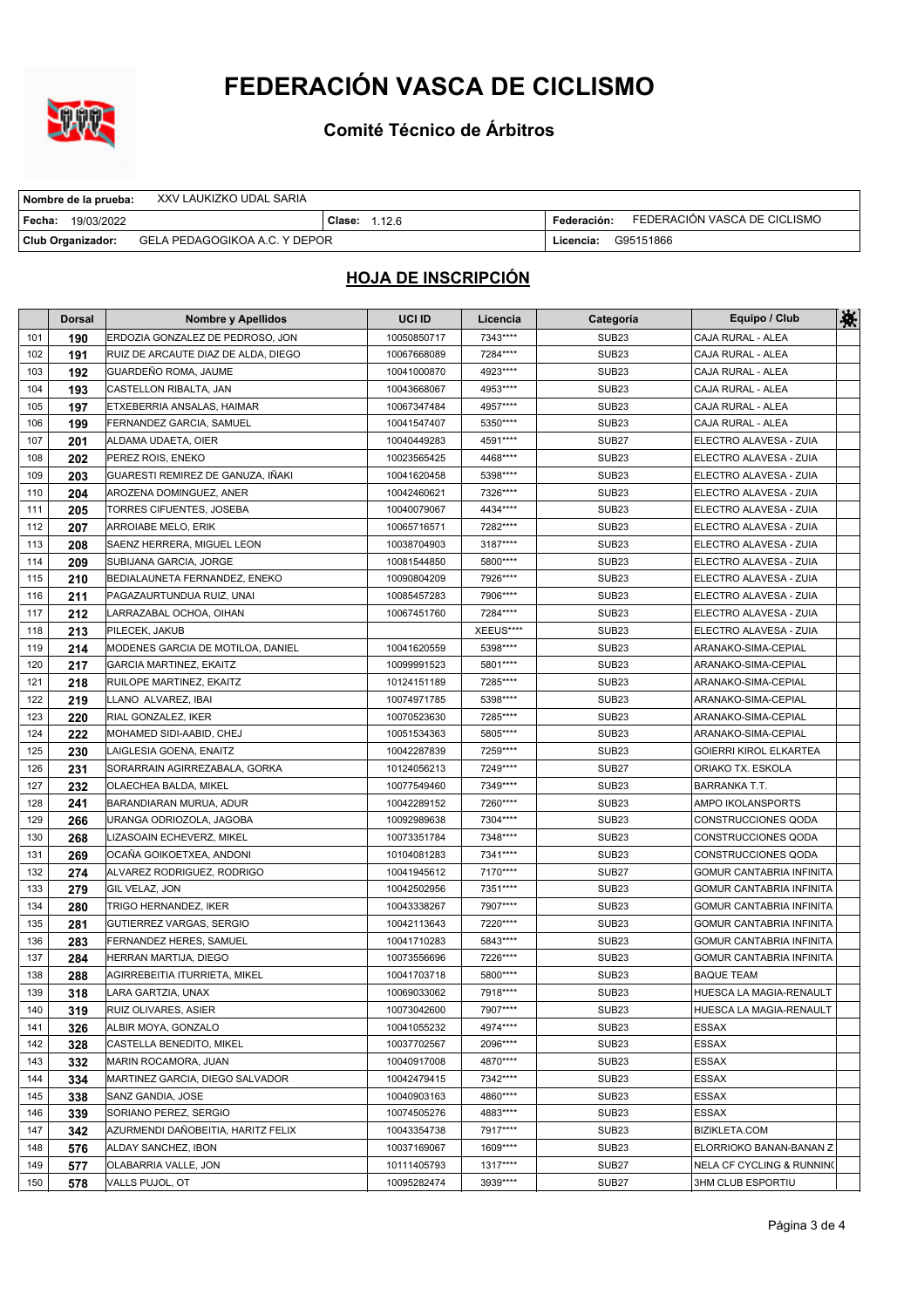

**Comité Técnico de Árbitros**

| Nombre de la prueba:   | XXV LAUKIZKO UDAL SARIA       |               |             |                              |
|------------------------|-------------------------------|---------------|-------------|------------------------------|
| l Fecha:<br>19/03/2022 |                               | Clase: 1.12.6 | Federación: | FEDERACIÓN VASCA DE CICLISMO |
| Club Organizador:      | GELA PEDAGOGIKOA A.C. Y DEPOR |               | Licencia:   | G95151866                    |

|     | <b>Dorsal</b> | <b>Nombre y Apellidos</b>           | UCI ID      | Licencia  | Categoría         | Equipo / Club                        | 鮝 |
|-----|---------------|-------------------------------------|-------------|-----------|-------------------|--------------------------------------|---|
| 101 | 190           | ERDOZIA GONZALEZ DE PEDROSO, JON    | 10050850717 | 7343****  | SUB <sub>23</sub> | CAJA RURAL - ALEA                    |   |
| 102 | 191           | RUIZ DE ARCAUTE DIAZ DE ALDA, DIEGO | 10067668089 | 7284****  | SUB <sub>23</sub> | CAJA RURAL - ALEA                    |   |
| 103 | 192           | GUARDEÑO ROMA, JAUME                | 10041000870 | 4923 **** | SUB <sub>23</sub> | CAJA RURAL - ALEA                    |   |
| 104 | 193           | CASTELLON RIBALTA, JAN              | 10043668067 | 4953****  | SUB <sub>23</sub> | CAJA RURAL - ALEA                    |   |
| 105 | 197           | ETXEBERRIA ANSALAS, HAIMAR          | 10067347484 | 4957****  | SUB <sub>23</sub> | CAJA RURAL - ALEA                    |   |
| 106 | 199           | FERNANDEZ GARCIA, SAMUEL            | 10041547407 | 5350****  | SUB <sub>23</sub> | CAJA RURAL - ALEA                    |   |
| 107 | 201           | ALDAMA UDAETA, OIER                 | 10040449283 | 4591****  | SUB <sub>27</sub> | ELECTRO ALAVESA - ZUIA               |   |
| 108 | 202           | PEREZ ROIS, ENEKO                   | 10023565425 | 4468****  | SUB <sub>23</sub> | ELECTRO ALAVESA - ZUIA               |   |
| 109 | 203           | GUARESTI REMIREZ DE GANUZA, IÑAKI   | 10041620458 | 5398****  | SUB <sub>23</sub> | ELECTRO ALAVESA - ZUIA               |   |
| 110 | 204           | AROZENA DOMINGUEZ, ANER             | 10042460621 | 7326****  | SUB <sub>23</sub> | ELECTRO ALAVESA - ZUIA               |   |
| 111 | 205           | TORRES CIFUENTES, JOSEBA            | 10040079067 | 4434 **** | SUB <sub>23</sub> | ELECTRO ALAVESA - ZUIA               |   |
| 112 | 207           | ARROIABE MELO, ERIK                 | 10065716571 | 7282****  | SUB <sub>23</sub> | ELECTRO ALAVESA - ZUIA               |   |
| 113 | 208           | SAENZ HERRERA, MIGUEL LEON          | 10038704903 | 3187****  | SUB <sub>23</sub> | ELECTRO ALAVESA - ZUIA               |   |
| 114 | 209           | SUBIJANA GARCIA, JORGE              | 10081544850 | 5800****  | SUB <sub>23</sub> | ELECTRO ALAVESA - ZUIA               |   |
| 115 | 210           | BEDIALAUNETA FERNANDEZ, ENEKO       | 10090804209 | 7926****  | SUB <sub>23</sub> | ELECTRO ALAVESA - ZUIA               |   |
| 116 | 211           | PAGAZAURTUNDUA RUIZ, UNAI           | 10085457283 | 7906****  | SUB <sub>23</sub> | ELECTRO ALAVESA - ZUIA               |   |
| 117 | 212           | LARRAZABAL OCHOA, OIHAN             | 10067451760 | 7284****  | SUB <sub>23</sub> | ELECTRO ALAVESA - ZUIA               |   |
| 118 | 213           | PILECEK, JAKUB                      |             | XEEUS**** | SUB <sub>23</sub> | ELECTRO ALAVESA - ZUIA               |   |
| 119 | 214           | MODENES GARCIA DE MOTILOA, DANIEL   | 10041620559 | 5398****  | SUB <sub>23</sub> | ARANAKO-SIMA-CEPIAL                  |   |
| 120 | 217           | <b>GARCIA MARTINEZ, EKAITZ</b>      | 10099991523 | 5801****  | SUB <sub>23</sub> | ARANAKO-SIMA-CEPIAL                  |   |
| 121 | 218           | RUILOPE MARTINEZ, EKAITZ            | 10124151189 | 7285****  | SUB <sub>23</sub> | ARANAKO-SIMA-CEPIAL                  |   |
| 122 | 219           | LLANO ALVAREZ, IBAI                 | 10074971785 | 5398****  | SUB <sub>23</sub> | ARANAKO-SIMA-CEPIAL                  |   |
| 123 | 220           | RIAL GONZALEZ, IKER                 | 10070523630 | 7285****  | SUB <sub>23</sub> | ARANAKO-SIMA-CEPIAL                  |   |
| 124 | 222           | MOHAMED SIDI-AABID, CHEJ            | 10051534363 | 5805****  | SUB <sub>23</sub> | ARANAKO-SIMA-CEPIAL                  |   |
| 125 | 230           | LAIGLESIA GOENA, ENAITZ             | 10042287839 | 7259****  | SUB <sub>23</sub> | GOIERRI KIROL ELKARTEA               |   |
| 126 | 231           | SORARRAIN AGIRREZABALA, GORKA       | 10124056213 | 7249****  | SUB <sub>27</sub> | ORIAKO TX. ESKOLA                    |   |
| 127 | 232           | OLAECHEA BALDA, MIKEL               | 10077549460 | 7349****  | SUB <sub>23</sub> | <b>BARRANKA T.T.</b>                 |   |
| 128 | 241           | BARANDIARAN MURUA, ADUR             | 10042289152 | 7260****  | SUB <sub>23</sub> | AMPO IKOLANSPORTS                    |   |
| 129 | 266           | URANGA ODRIOZOLA, JAGOBA            | 10092989638 | 7304****  | SUB <sub>23</sub> | CONSTRUCCIONES QODA                  |   |
| 130 | 268           | LIZASOAIN ECHEVERZ, MIKEL           | 10073351784 | 7348****  | SUB <sub>23</sub> | CONSTRUCCIONES QODA                  |   |
| 131 | 269           | OCAÑA GOIKOETXEA, ANDONI            | 10104081283 | 7341****  | SUB <sub>23</sub> | CONSTRUCCIONES QODA                  |   |
| 132 | 274           | ALVAREZ RODRIGUEZ, RODRIGO          | 10041945612 | 7170****  | <b>SUB27</b>      | GOMUR CANTABRIA INFINITA             |   |
| 133 | 279           | <b>GIL VELAZ, JON</b>               | 10042502956 | 7351****  | SUB <sub>23</sub> | <b>GOMUR CANTABRIA INFINITA</b>      |   |
| 134 | 280           | TRIGO HERNANDEZ, IKER               | 10043338267 | 7907****  | SUB <sub>23</sub> | <b>GOMUR CANTABRIA INFINITA</b>      |   |
| 135 | 281           | <b>GUTIERREZ VARGAS, SERGIO</b>     | 10042113643 | 7220****  | SUB <sub>23</sub> | <b>GOMUR CANTABRIA INFINITA</b>      |   |
| 136 | 283           | FERNANDEZ HERES, SAMUEL             | 10041710283 | 5843****  | SUB <sub>23</sub> | <b>GOMUR CANTABRIA INFINITA</b>      |   |
| 137 | 284           | HERRAN MARTIJA, DIEGO               | 10073556696 | 7226****  | SUB <sub>23</sub> | <b>GOMUR CANTABRIA INFINITA</b>      |   |
| 138 | 288           | AGIRREBEITIA ITURRIETA, MIKEL       | 10041703718 | 5800****  | SUB <sub>23</sub> | <b>BAQUE TEAM</b>                    |   |
| 139 | 318           | LARA GARTZIA. UNAX                  | 10069033062 | 7918****  | SUB <sub>23</sub> | HUESCA LA MAGIA-RENAULT              |   |
| 140 | 319           | <b>RUIZ OLIVARES, ASIER</b>         | 10073042600 | 7907****  | SUB <sub>23</sub> | HUESCA LA MAGIA-RENAULT              |   |
| 141 | 326           | ALBIR MOYA, GONZALO                 | 10041055232 | 4974****  | SUB <sub>23</sub> | ESSAX                                |   |
| 142 | 328           | CASTELLA BENEDITO, MIKEL            | 10037702567 | 2096****  | SUB <sub>23</sub> | <b>ESSAX</b>                         |   |
| 143 | 332           | MARIN ROCAMORA, JUAN                | 10040917008 | 4870****  | SUB <sub>23</sub> | ESSAX                                |   |
| 144 | 334           | MARTINEZ GARCIA. DIEGO SALVADOR     | 10042479415 | 7342****  | SUB <sub>23</sub> | ESSAX                                |   |
| 145 | 338           | SANZ GANDIA, JOSE                   | 10040903163 | 4860****  | SUB <sub>23</sub> | ESSAX                                |   |
| 146 | 339           | SORIANO PEREZ, SERGIO               | 10074505276 | 4883****  | SUB <sub>23</sub> | ESSAX                                |   |
| 147 | 342           | AZURMENDI DAÑOBEITIA, HARITZ FELIX  | 10043354738 | 7917****  | SUB <sub>23</sub> | <b>BIZIKLETA.COM</b>                 |   |
| 148 | 576           | ALDAY SANCHEZ, IBON                 | 10037169067 | 1609****  | SUB <sub>23</sub> | ELORRIOKO BANAN-BANAN Z              |   |
| 149 | 577           | <b>OLABARRIA VALLE, JON</b>         | 10111405793 | 1317****  | <b>SUB27</b>      | <b>NELA CF CYCLING &amp; RUNNING</b> |   |
| 150 | 578           | VALLS PUJOL, OT                     | 10095282474 | 3939****  | <b>SUB27</b>      | 3HM CLUB ESPORTIU                    |   |